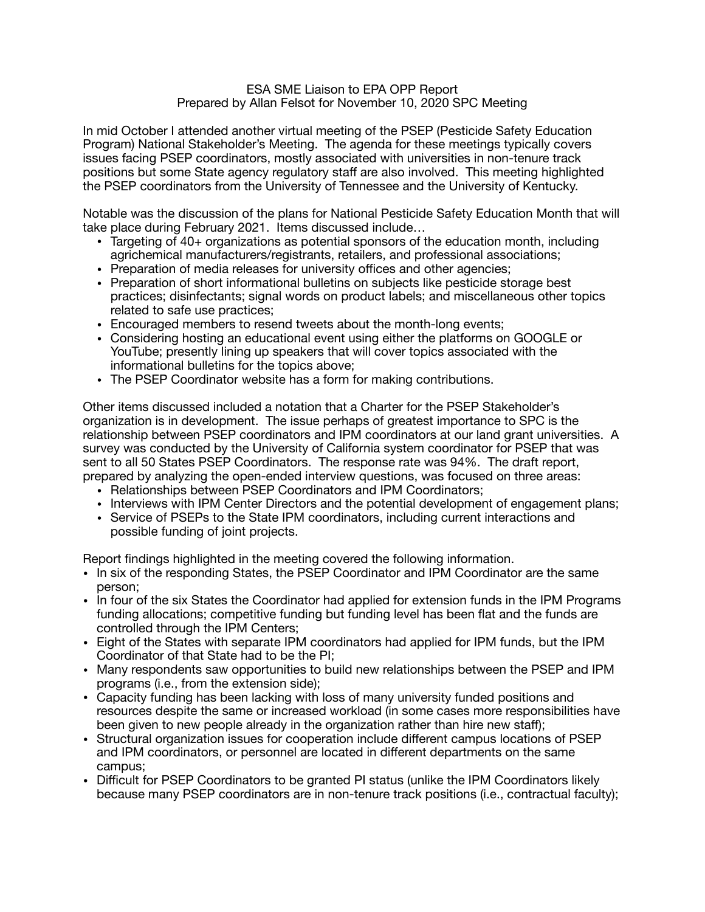## ESA SME Liaison to EPA OPP Report Prepared by Allan Felsot for November 10, 2020 SPC Meeting

In mid October I attended another virtual meeting of the PSEP (Pesticide Safety Education Program) National Stakeholder's Meeting. The agenda for these meetings typically covers issues facing PSEP coordinators, mostly associated with universities in non-tenure track positions but some State agency regulatory staff are also involved. This meeting highlighted the PSEP coordinators from the University of Tennessee and the University of Kentucky.

Notable was the discussion of the plans for National Pesticide Safety Education Month that will take place during February 2021. Items discussed include…

- Targeting of 40+ organizations as potential sponsors of the education month, including agrichemical manufacturers/registrants, retailers, and professional associations;
- Preparation of media releases for university offices and other agencies;
- Preparation of short informational bulletins on subjects like pesticide storage best practices; disinfectants; signal words on product labels; and miscellaneous other topics related to safe use practices;
- Encouraged members to resend tweets about the month-long events;
- Considering hosting an educational event using either the platforms on GOOGLE or YouTube; presently lining up speakers that will cover topics associated with the informational bulletins for the topics above;
- The PSEP Coordinator website has a form for making contributions.

Other items discussed included a notation that a Charter for the PSEP Stakeholder's organization is in development. The issue perhaps of greatest importance to SPC is the relationship between PSEP coordinators and IPM coordinators at our land grant universities. A survey was conducted by the University of California system coordinator for PSEP that was sent to all 50 States PSEP Coordinators. The response rate was 94%. The draft report, prepared by analyzing the open-ended interview questions, was focused on three areas:

- Relationships between PSEP Coordinators and IPM Coordinators;
- Interviews with IPM Center Directors and the potential development of engagement plans;
- Service of PSEPs to the State IPM coordinators, including current interactions and possible funding of joint projects.

Report findings highlighted in the meeting covered the following information.

- In six of the responding States, the PSEP Coordinator and IPM Coordinator are the same person;
- In four of the six States the Coordinator had applied for extension funds in the IPM Programs funding allocations; competitive funding but funding level has been flat and the funds are controlled through the IPM Centers;
- Eight of the States with separate IPM coordinators had applied for IPM funds, but the IPM Coordinator of that State had to be the PI;
- Many respondents saw opportunities to build new relationships between the PSEP and IPM programs (i.e., from the extension side);
- Capacity funding has been lacking with loss of many university funded positions and resources despite the same or increased workload (in some cases more responsibilities have been given to new people already in the organization rather than hire new staff);
- Structural organization issues for cooperation include different campus locations of PSEP and IPM coordinators, or personnel are located in different departments on the same campus;
- Difficult for PSEP Coordinators to be granted PI status (unlike the IPM Coordinators likely because many PSEP coordinators are in non-tenure track positions (i.e., contractual faculty);